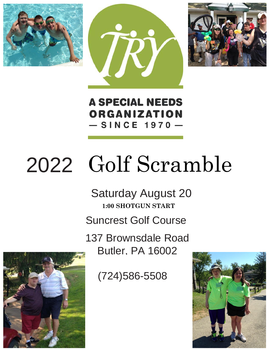





**A SPECIAL NEEDS** ORGANIZATION  $-$  SINCE 1970  $-$ 

# 2022 Golf Scramble

Saturday August 20 **1:00 SHOTGUN START** Suncrest Golf Course

> 137 Digitized and 16002 137 Brownsdale Road Butler, PA 16002

> > (724) 300-3300 (724)586-5508



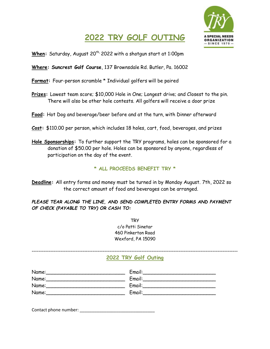## **ORGANIZATION SINCE 1970 -**

#### **2022 TRY GOLF OUTING**

When: Saturday, August 20<sup>th,</sup> 2022 with a shotgun start at 1:00pm

**Where: Suncrest Golf Course**, 137 Brownsdale Rd. Butler, Pa. 16002

**Format:** Four-person scramble \* Individual golfers will be paired

- **Prizes:** Lowest team score; \$10,000 Hole in One; Longest drive; and Closest to the pin. There will also be other hole contests. All golfers will receive a door prize
- **Food:** Hot Dog and beverage/beer before and at the turn, with Dinner afterward
- **Cost:** \$110.00 per person, which includes 18 holes, cart, food, beverages, and prizes
- **Hole Sponsorships:** To further support the TRY programs, holes can be sponsored for a donation of \$50.00 per hole. Holes can be sponsored by anyone, regardless of participation on the day of the event.

**\* ALL PROCEEDS BENEFIT TRY \*** 

**Deadline:** All entry forms and money must be turned in by Monday August. 7th, 2022 so the correct amount of food and beverages can be arranged.

*PLEASE TEAR ALONG THE LINE, AND SEND COMPLETED ENTRY FORMS AND PAYMENT OF CHECK (PAYABLE TO TRY) OR CASH TO:* 

> **TRY** c/o Patti Sinetar 460 Pinkerton Road Wexford, PA 15090

#### **2022 TRY Golf Outing**

| Name: | Email: |
|-------|--------|
| Name: | Email: |
| Name: | Email: |
| Name: | Email: |

Contact phone number: \_\_\_\_\_\_\_\_\_\_\_\_\_\_\_\_\_\_\_\_\_\_\_\_\_\_\_\_\_\_\_